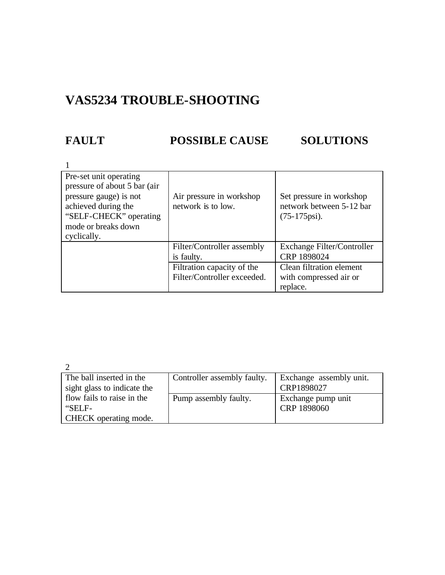## **VAS5234 TROUBLE-SHOOTING**

### **FAULT POSSIBLE CAUSE SOLUTIONS**

| Pre-set unit operating        |                             |                            |
|-------------------------------|-----------------------------|----------------------------|
| pressure of about 5 bar (air) |                             |                            |
| pressure gauge) is not        | Air pressure in workshop    | Set pressure in workshop   |
| achieved during the           | network is to low.          | network between 5-12 bar   |
| "SELF-CHECK" operating        |                             | $(75-175\text{psi}).$      |
| mode or breaks down           |                             |                            |
| cyclically.                   |                             |                            |
|                               | Filter/Controller assembly  | Exchange Filter/Controller |
|                               | is faulty.                  | CRP 1898024                |
|                               | Filtration capacity of the  | Clean filtration element   |
|                               | Filter/Controller exceeded. | with compressed air or     |
|                               |                             | replace.                   |

 $\mathcal{L}$ 

| The ball inserted in the     | Controller assembly faulty. | Exchange assembly unit. |
|------------------------------|-----------------------------|-------------------------|
| sight glass to indicate the  |                             | CRP1898027              |
| flow fails to raise in the   | Pump assembly faulty.       | Exchange pump unit      |
| "SELF-                       |                             | CRP 1898060             |
| <b>CHECK</b> operating mode. |                             |                         |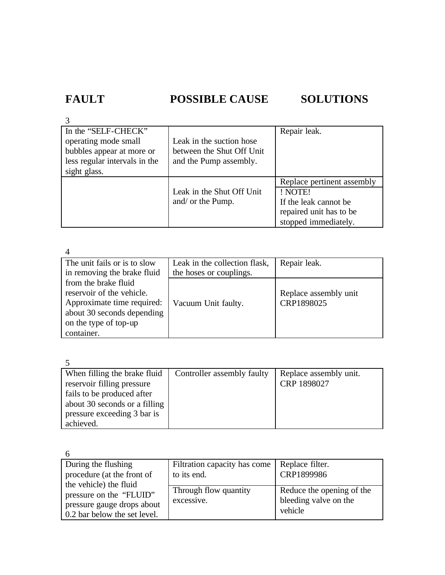# **FAULT POSSIBLE CAUSE SOLUTIONS**

| In the "SELF-CHECK"           |                           | Repair leak.               |
|-------------------------------|---------------------------|----------------------------|
| operating mode small          | Leak in the suction hose  |                            |
| bubbles appear at more or     | between the Shut Off Unit |                            |
| less regular intervals in the | and the Pump assembly.    |                            |
| sight glass.                  |                           |                            |
|                               |                           | Replace pertinent assembly |
|                               | Leak in the Shut Off Unit | ! NOTE!                    |
|                               | and/ or the Pump.         | If the leak cannot be      |
|                               |                           | repaired unit has to be    |
|                               |                           | stopped immediately.       |

4

| The unit fails or is to slow | Leak in the collection flask, | Repair leak.          |
|------------------------------|-------------------------------|-----------------------|
| in removing the brake fluid  | the hoses or couplings.       |                       |
| from the brake fluid         |                               |                       |
| reservoir of the vehicle.    |                               | Replace assembly unit |
| Approximate time required:   | Vacuum Unit faulty.           | CRP1898025            |
| about 30 seconds depending   |                               |                       |
| on the type of top-up        |                               |                       |
| container.                   |                               |                       |

 $\zeta$ 

| When filling the brake fluid  | Controller assembly faulty | Replace assembly unit. |
|-------------------------------|----------------------------|------------------------|
| reservoir filling pressure    |                            | CRP 1898027            |
| fails to be produced after    |                            |                        |
| about 30 seconds or a filling |                            |                        |
| pressure exceeding 3 bar is   |                            |                        |
| achieved.                     |                            |                        |

6

| During the flushing          | Filtration capacity has come | Replace filter.           |
|------------------------------|------------------------------|---------------------------|
| procedure (at the front of   | to its end.                  | CRP1899986                |
| the vehicle) the fluid       |                              |                           |
|                              | Through flow quantity        | Reduce the opening of the |
| pressure on the "FLUID"      |                              |                           |
| pressure gauge drops about   | excessive.                   | bleeding valve on the     |
|                              |                              | vehicle                   |
| 0.2 bar below the set level. |                              |                           |